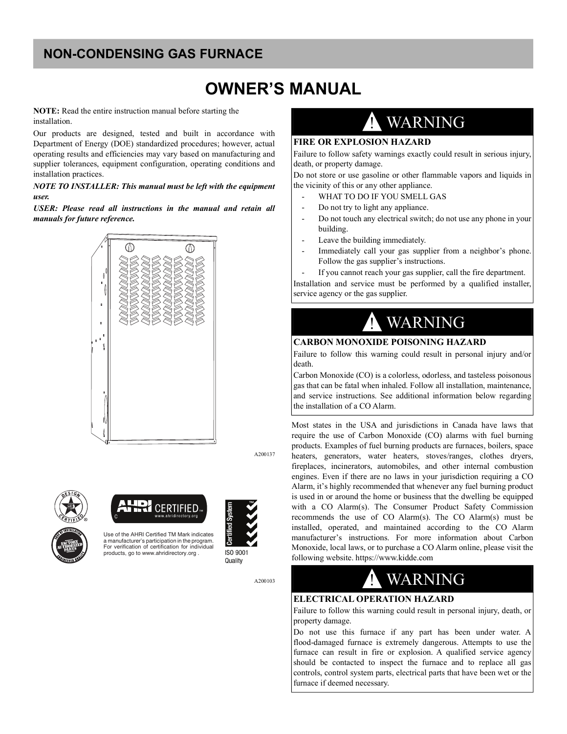## **NON-CONDENSING GAS FURNACE**

## **OWNER'S MANUAL**

**NOTE:** Read the entire instruction manual before starting the installation.

Our products are designed, tested and built in accordance with Department of Energy (DOE) standardized procedures; however, actual operating results and efficiencies may vary based on manufacturing and supplier tolerances, equipment configuration, operating conditions and installation practices.

#### *NOTE TO INSTALLER: This manual must be left with the equipment user.*

*USER: Please read all instructions in the manual and retain all manuals for future reference.*



A200137





Use of the AHRI Certified TM Mark indicates a manufacturer's participation in the program. For verification of certification for individual products, go to www.ahridirectory.org .



ISO 9001 Quality

A200103

# WARNING

#### **FIRE OR EXPLOSION HAZARD**

Failure to follow safety warnings exactly could result in serious injury, death, or property damage.

Do not store or use gasoline or other flammable vapors and liquids in the vicinity of this or any other appliance.

- WHAT TO DO IF YOU SMELL GAS
- Do not try to light any appliance.
- Do not touch any electrical switch; do not use any phone in your building.
- Leave the building immediately.
- Immediately call your gas supplier from a neighbor's phone. Follow the gas supplier's instructions.

If you cannot reach your gas supplier, call the fire department. Installation and service must be performed by a qualified installer, service agency or the gas supplier.



#### **CARBON MONOXIDE POISONING HAZARD**

Failure to follow this warning could result in personal injury and/or death.

Carbon Monoxide (CO) is a colorless, odorless, and tasteless poisonous gas that can be fatal when inhaled. Follow all installation, maintenance, and service instructions. See additional information below regarding the installation of a CO Alarm.

Most states in the USA and jurisdictions in Canada have laws that require the use of Carbon Monoxide (CO) alarms with fuel burning products. Examples of fuel burning products are furnaces, boilers, space heaters, generators, water heaters, stoves/ranges, clothes dryers, fireplaces, incinerators, automobiles, and other internal combustion engines. Even if there are no laws in your jurisdiction requiring a CO Alarm, it's highly recommended that whenever any fuel burning product is used in or around the home or business that the dwelling be equipped with a CO Alarm(s). The Consumer Product Safety Commission recommends the use of CO Alarm(s). The CO Alarm(s) must be installed, operated, and maintained according to the CO Alarm manufacturer's instructions. For more information about Carbon Monoxide, local laws, or to purchase a CO Alarm online, please visit the following website. https://www.kidde.com

# **WARNING**

#### **ELECTRICAL OPERATION HAZARD**

Failure to follow this warning could result in personal injury, death, or property damage.

Do not use this furnace if any part has been under water. A flood-damaged furnace is extremely dangerous. Attempts to use the furnace can result in fire or explosion. A qualified service agency should be contacted to inspect the furnace and to replace all gas controls, control system parts, electrical parts that have been wet or the furnace if deemed necessary.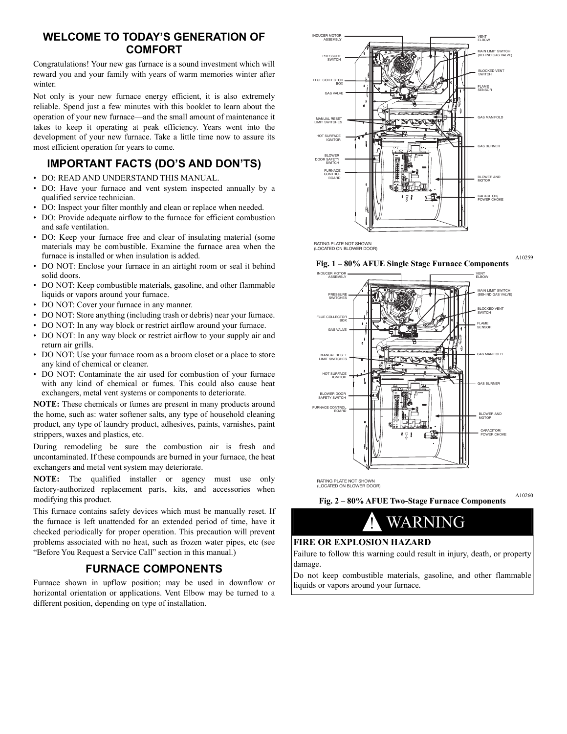### **WELCOME TO TODAY'S GENERATION OF COMFORT**

Congratulations! Your new gas furnace is a sound investment which will reward you and your family with years of warm memories winter after winter

Not only is your new furnace energy efficient, it is also extremely reliable. Spend just a few minutes with this booklet to learn about the operation of your new furnace—and the small amount of maintenance it takes to keep it operating at peak efficiency. Years went into the development of your new furnace. Take a little time now to assure its most efficient operation for years to come.

## <span id="page-1-0"></span>**IMPORTANT FACTS (DO'S AND DON'TS)**

- DO: READ AND UNDERSTAND THIS MANUAL.
- DO: Have your furnace and vent system inspected annually by a qualified service technician.
- DO: Inspect your filter monthly and clean or replace when needed.
- DO: Provide adequate airflow to the furnace for efficient combustion and safe ventilation.
- DO: Keep your furnace free and clear of insulating material (some materials may be combustible. Examine the furnace area when the furnace is installed or when insulation is added.
- DO NOT: Enclose your furnace in an airtight room or seal it behind solid doors.
- DO NOT: Keep combustible materials, gasoline, and other flammable liquids or vapors around your furnace.
- DO NOT: Cover your furnace in any manner.
- DO NOT: Store anything (including trash or debris) near your furnace.
- DO NOT: In any way block or restrict airflow around your furnace.
- DO NOT: In any way block or restrict airflow to your supply air and return air grills.
- DO NOT: Use your furnace room as a broom closet or a place to store any kind of chemical or cleaner.
- DO NOT: Contaminate the air used for combustion of your furnace with any kind of chemical or fumes. This could also cause heat exchangers, metal vent systems or components to deteriorate.

**NOTE:** These chemicals or fumes are present in many products around the home, such as: water softener salts, any type of household cleaning product, any type of laundry product, adhesives, paints, varnishes, paint strippers, waxes and plastics, etc.

During remodeling be sure the combustion air is fresh and uncontaminated. If these compounds are burned in your furnace, the heat exchangers and metal vent system may deteriorate.

**NOTE:** The qualified installer or agency must use only factory-authorized replacement parts, kits, and accessories when modifying this product.

This furnace contains safety devices which must be manually reset. If the furnace is left unattended for an extended period of time, have it checked periodically for proper operation. This precaution will prevent problems associated with no heat, such as frozen water pipes, etc (see "Before You Request a Service Call" section in this manual.)

### **FURNACE COMPONENTS**

<span id="page-1-1"></span>Furnace shown in upflow position; may be used in downflow or horizontal orientation or applications. Vent Elbow may be turned to a different position, depending on type of installation.



RATING PLATE NOT SHOWN (LOCATED ON BLOWER DOOR)

<span id="page-1-2"></span>



RATING PLATE NOT SHOWN (LOCATED ON BLOWER DOOR)

<span id="page-1-3"></span>A10260 **Fig. 2 – 80% AFUE Two-Stage Furnace Components**

# ! WARNING

#### **FIRE OR EXPLOSION HAZARD**

Failure to follow this warning could result in injury, death, or property damage.

Do not keep combustible materials, gasoline, and other flammable liquids or vapors around your furnace.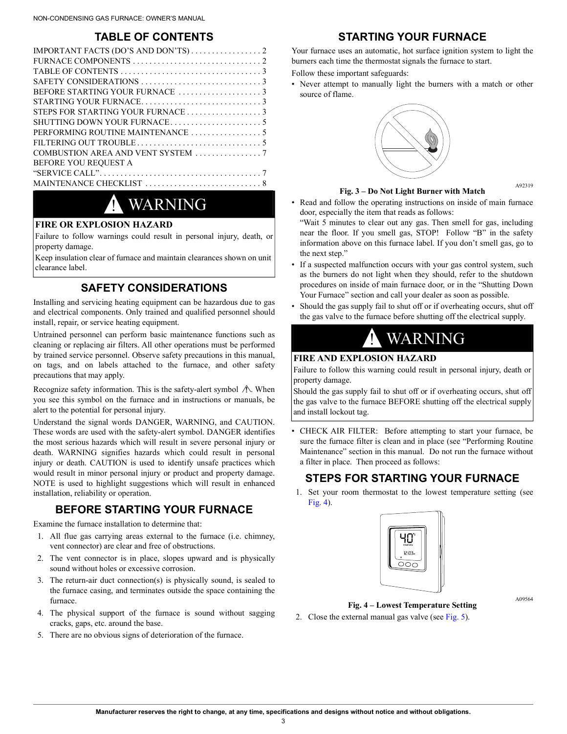### **TABLE OF CONTENTS**

<span id="page-2-0"></span>

| <b>BEFORE YOU REQUEST A</b> |
|-----------------------------|
|                             |
|                             |
|                             |

## **WARNING**

#### **FIRE OR EXPLOSION HAZARD**

Failure to follow warnings could result in personal injury, death, or property damage.

Keep insulation clear of furnace and maintain clearances shown on unit clearance label.

### **SAFETY CONSIDERATIONS**

<span id="page-2-1"></span>Installing and servicing heating equipment can be hazardous due to gas and electrical components. Only trained and qualified personnel should install, repair, or service heating equipment.

Untrained personnel can perform basic maintenance functions such as cleaning or replacing air filters. All other operations must be performed by trained service personnel. Observe safety precautions in this manual, on tags, and on labels attached to the furnace, and other safety precautions that may apply.

Recognize safety information. This is the safety-alert symbol  $\Lambda$ . When you see this symbol on the furnace and in instructions or manuals, be alert to the potential for personal injury.

Understand the signal words DANGER, WARNING, and CAUTION. These words are used with the safety-alert symbol. DANGER identifies the most serious hazards which will result in severe personal injury or death. WARNING signifies hazards which could result in personal injury or death. CAUTION is used to identify unsafe practices which would result in minor personal injury or product and property damage. NOTE is used to highlight suggestions which will result in enhanced installation, reliability or operation.

### **BEFORE STARTING YOUR FURNACE**

<span id="page-2-2"></span>Examine the furnace installation to determine that:

- 1. All flue gas carrying areas external to the furnace (i.e. chimney, vent connector) are clear and free of obstructions.
- 2. The vent connector is in place, slopes upward and is physically sound without holes or excessive corrosion.
- 3. The return-air duct connection(s) is physically sound, is sealed to the furnace casing, and terminates outside the space containing the furnace.
- 4. The physical support of the furnace is sound without sagging cracks, gaps, etc. around the base.
- 5. There are no obvious signs of deterioration of the furnace.

### **STARTING YOUR FURNACE**

<span id="page-2-3"></span>Your furnace uses an automatic, hot surface ignition system to light the burners each time the thermostat signals the furnace to start.

Follow these important safeguards:

• Never attempt to manually light the burners with a match or other source of flame.



#### A92319

• Read and follow the operating instructions on inside of main furnace door, especially the item that reads as follows:

"Wait 5 minutes to clear out any gas. Then smell for gas, including near the floor. If you smell gas, STOP! Follow "B" in the safety information above on this furnace label. If you don't smell gas, go to the next step."

- If a suspected malfunction occurs with your gas control system, such as the burners do not light when they should, refer to the shutdown procedures on inside of main furnace door, or in the "Shutting Down Your Furnace" section and call your dealer as soon as possible.
- Should the gas supply fail to shut off or if overheating occurs, shut off the gas valve to the furnace before shutting off the electrical supply.



#### **FIRE AND EXPLOSION HAZARD**

Failure to follow this warning could result in personal injury, death or property damage.

Should the gas supply fail to shut off or if overheating occurs, shut off the gas valve to the furnace BEFORE shutting off the electrical supply and install lockout tag.

• CHECK AIR FILTER: Before attempting to start your furnace, be sure the furnace filter is clean and in place (see "Performing Routine Maintenance" section in this manual. Do not run the furnace without a filter in place. Then proceed as follows:

#### <span id="page-2-4"></span>**STEPS FOR STARTING YOUR FURNACE**

1. Set your room thermostat to the lowest temperature setting (see [Fig.](#page-2-5) 4).



A09564

- **Fig. 4 Lowest Temperature Setting**
- <span id="page-2-5"></span>2. Close the external manual gas valve (see [Fig.](#page-3-0) 5).

3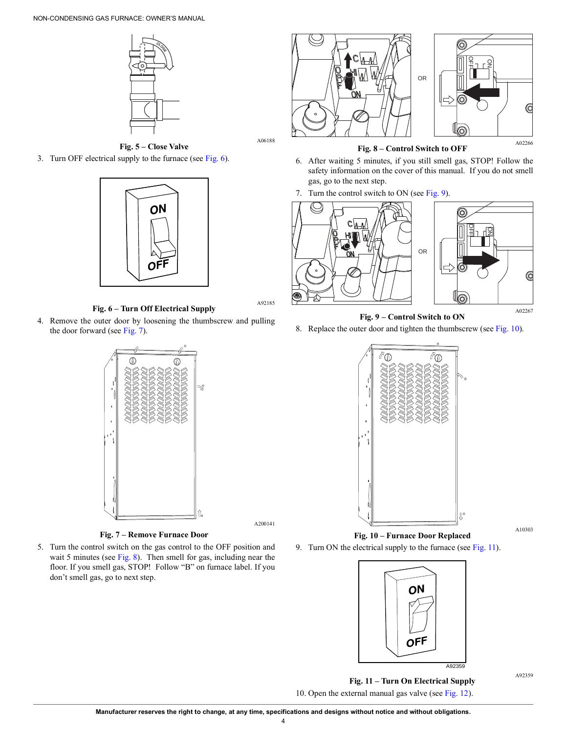



A06188

A92185

A200141

<span id="page-3-0"></span>3. Turn OFF electrical supply to the furnace (see [Fig.](#page-3-1) 6).



**Fig. 6 – Turn Off Electrical Supply**

<span id="page-3-1"></span>4. Remove the outer door by loosening the thumbscrew and pulling the door forward (see [Fig.](#page-3-2) 7).



**Fig. 7 – Remove Furnace Door**

<span id="page-3-2"></span>5. Turn the control switch on the gas control to the OFF position and wait 5 minutes (see [Fig.](#page-3-3) 8). Then smell for gas, including near the floor. If you smell gas, STOP! Follow "B" on furnace label. If you don't smell gas, go to next step.



**Fig. 8 – Control Switch to OFF**

- A02266
- <span id="page-3-3"></span>6. After waiting 5 minutes, if you still smell gas, STOP! Follow the safety information on the cover of this manual. If you do not smell gas, go to the next step.
- 7. Turn the control switch to ON (see [Fig.](#page-3-4) 9).



**Fig. 9 – Control Switch to ON**

<span id="page-3-4"></span>8. Replace the outer door and tighten the thumbscrew (see [Fig.](#page-3-5) 10).



A10303

<span id="page-3-5"></span>9. Turn ON the electrical supply to the furnace (see [Fig.](#page-3-6) 11).



A92359

<span id="page-3-6"></span>**Fig. 11 – Turn On Electrical Supply** 10. Open the external manual gas valve (see [Fig.](#page-4-3) 12).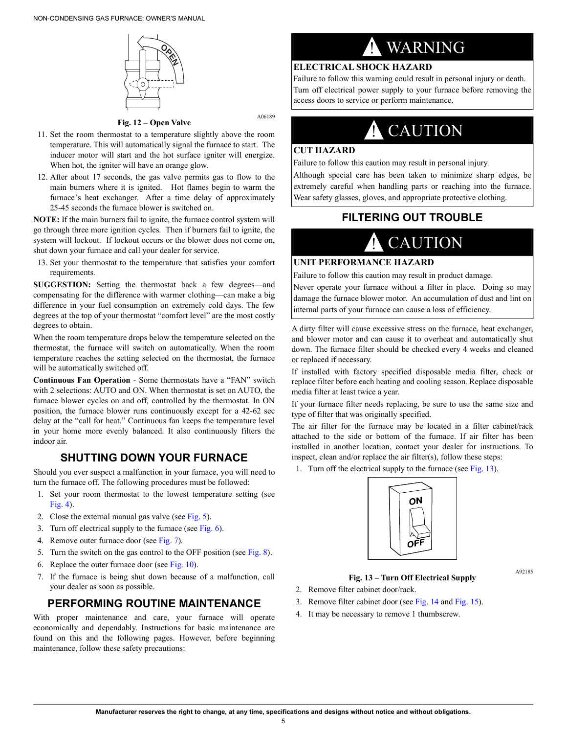

A06189

**Fig. 12 – Open Valve**

- <span id="page-4-3"></span>11. Set the room thermostat to a temperature slightly above the room temperature. This will automatically signal the furnace to start. The inducer motor will start and the hot surface igniter will energize. When hot, the igniter will have an orange glow.
- 12. After about 17 seconds, the gas valve permits gas to flow to the main burners where it is ignited. Hot flames begin to warm the furnace's heat exchanger. After a time delay of approximately 25-45 seconds the furnace blower is switched on.

**NOTE:** If the main burners fail to ignite, the furnace control system will go through three more ignition cycles. Then if burners fail to ignite, the system will lockout. If lockout occurs or the blower does not come on, shut down your furnace and call your dealer for service.

13. Set your thermostat to the temperature that satisfies your comfort requirements.

**SUGGESTION:** Setting the thermostat back a few degrees—and compensating for the difference with warmer clothing—can make a big difference in your fuel consumption on extremely cold days. The few degrees at the top of your thermostat "comfort level" are the most costly degrees to obtain.

When the room temperature drops below the temperature selected on the thermostat, the furnace will switch on automatically. When the room temperature reaches the setting selected on the thermostat, the furnace will be automatically switched off.

**Continuous Fan Operation** - Some thermostats have a "FAN" switch with 2 selections: AUTO and ON. When thermostat is set on AUTO, the furnace blower cycles on and off, controlled by the thermostat. In ON position, the furnace blower runs continuously except for a 42-62 sec delay at the "call for heat." Continuous fan keeps the temperature level in your home more evenly balanced. It also continuously filters the indoor air.

## **SHUTTING DOWN YOUR FURNACE**

<span id="page-4-0"></span>Should you ever suspect a malfunction in your furnace, you will need to turn the furnace off. The following procedures must be followed:

- 1. Set your room thermostat to the lowest temperature setting (see [Fig.](#page-2-5) 4).
- 2. Close the external manual gas valve (see [Fig.](#page-3-0) 5).
- 3. Turn off electrical supply to the furnace (see [Fig.](#page-3-1)  $6$ ).
- 4. Remove outer furnace door (see [Fig.](#page-3-2) 7).
- 5. Turn the switch on the gas control to the OFF position (see [Fig.](#page-3-3) 8).
- 6. Replace the outer furnace door (see [Fig.](#page-3-5)  $10$ ).
- 7. If the furnace is being shut down because of a malfunction, call your dealer as soon as possible.

### <span id="page-4-1"></span>**PERFORMING ROUTINE MAINTENANCE**

With proper maintenance and care, your furnace will operate economically and dependably. Instructions for basic maintenance are found on this and the following pages. However, before beginning maintenance, follow these safety precautions:

# ! WARNING

### **ELECTRICAL SHOCK HAZARD**

Failure to follow this warning could result in personal injury or death. Turn off electrical power supply to your furnace before removing the access doors to service or perform maintenance.

## **CAUTION**

#### **CUT HAZARD**

Failure to follow this caution may result in personal injury.

<span id="page-4-2"></span>Although special care has been taken to minimize sharp edges, be extremely careful when handling parts or reaching into the furnace. Wear safety glasses, gloves, and appropriate protective clothing.

### **FILTERING OUT TROUBLE**

# **CAUTION**

#### **UNIT PERFORMANCE HAZARD**

Failure to follow this caution may result in product damage.

Never operate your furnace without a filter in place. Doing so may damage the furnace blower motor. An accumulation of dust and lint on internal parts of your furnace can cause a loss of efficiency.

A dirty filter will cause excessive stress on the furnace, heat exchanger, and blower motor and can cause it to overheat and automatically shut down. The furnace filter should be checked every 4 weeks and cleaned or replaced if necessary.

If installed with factory specified disposable media filter, check or replace filter before each heating and cooling season. Replace disposable media filter at least twice a year.

If your furnace filter needs replacing, be sure to use the same size and type of filter that was originally specified.

The air filter for the furnace may be located in a filter cabinet/rack attached to the side or bottom of the furnace. If air filter has been installed in another location, contact your dealer for instructions. To inspect, clean and/or replace the air filter(s), follow these steps:

1. Turn off the electrical supply to the furnace (see [Fig.](#page-4-4) 13).



#### **Fig. 13 – Turn Off Electrical Supply**

#### A92185

- <span id="page-4-4"></span>2. Remove filter cabinet door/rack.
- 3. Remove filter cabinet door (see [Fig.](#page-5-0) 14 and [Fig.](#page-5-1) 15).
- 4. It may be necessary to remove 1 thumbscrew.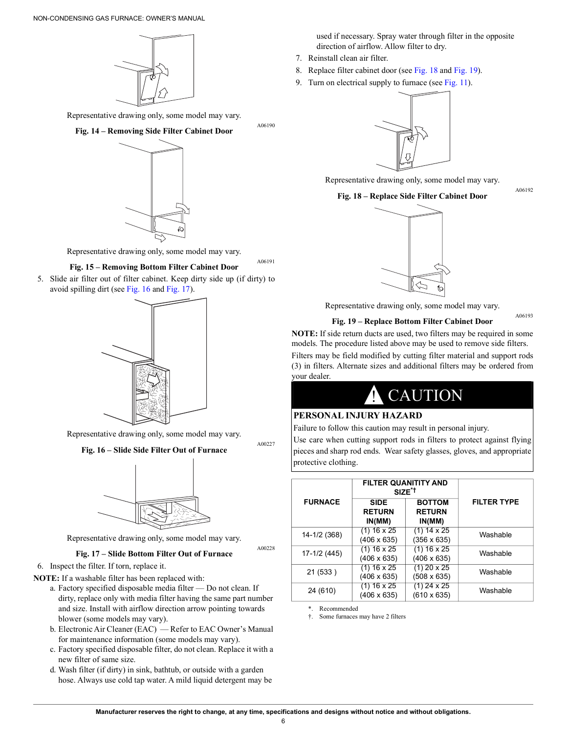

<span id="page-5-0"></span>Representative drawing only, some model may vary.



Representative drawing only, some model may vary.

#### **Fig. 15 – Removing Bottom Filter Cabinet Door**

<span id="page-5-1"></span>5. Slide air filter out of filter cabinet. Keep dirty side up (if dirty) to avoid spilling dirt (see [Fig.](#page-5-2) 16 and [Fig.](#page-5-3) 17).



Representative drawing only, some model may vary.

<span id="page-5-2"></span>**Fig. 16 – Slide Side Filter Out of Furnace**



Representative drawing only, some model may vary.

#### **Fig. 17 – Slide Bottom Filter Out of Furnace**

<span id="page-5-3"></span>6. Inspect the filter. If torn, replace it.

- **NOTE:** If a washable filter has been replaced with:
	- a. Factory specified disposable media filter Do not clean. If dirty, replace only with media filter having the same part number and size. Install with airflow direction arrow pointing towards blower (some models may vary).
	- b. Electronic Air Cleaner (EAC) Refer to EAC Owner's Manual for maintenance information (some models may vary).
	- c. Factory specified disposable filter, do not clean. Replace it with a new filter of same size.
	- d. Wash filter (if dirty) in sink, bathtub, or outside with a garden hose. Always use cold tap water. A mild liquid detergent may be

used if necessary. Spray water through filter in the opposite direction of airflow. Allow filter to dry.

7. Reinstall clean air filter.

A06190

A06191

A00227

A00228

- 8. Replace filter cabinet door (see [Fig.](#page-5-4) 18 and [Fig.](#page-5-5) 19).
- 9. Turn on electrical supply to furnace (see [Fig.](#page-3-6) 11).



<span id="page-5-4"></span>Representative drawing only, some model may vary.

#### **Fig. 18 – Replace Side Filter Cabinet Door**

A06192

A06193



Representative drawing only, some model may vary.

**Fig. 19 – Replace Bottom Filter Cabinet Door**

<span id="page-5-5"></span>**NOTE:** If side return ducts are used, two filters may be required in some models. The procedure listed above may be used to remove side filters.

Filters may be field modified by cutting filter material and support rods (3) in filters. Alternate sizes and additional filters may be ordered from your dealer.

# **CAUTION**

#### **PERSONAL INJURY HAZARD**

Failure to follow this caution may result in personal injury.

Use care when cutting support rods in filters to protect against flying pieces and sharp rod ends. Wear safety glasses, gloves, and appropriate protective clothing.

|                | <b>FILTER QUANITITY AND</b><br>SIZE <sup>*†</sup> |                                          |                    |  |
|----------------|---------------------------------------------------|------------------------------------------|--------------------|--|
| <b>FURNACE</b> | <b>SIDE</b><br><b>RETURN</b><br>IN(MM)            | <b>BOTTOM</b><br><b>RETURN</b><br>IN(MM) | <b>FILTER TYPE</b> |  |
| 14-1/2 (368)   | (1) 16 x 25<br>(406 x 635)                        | $(1) 14 \times 25$<br>(356 x 635)        | Washable           |  |
| 17-1/2 (445)   | $(1)$ 16 x 25<br>$(406 \times 635)$               | $(1)$ 16 x 25<br>(406 x 635)             | Washable           |  |
| 21 (533)       | (1) 16 x 25<br>$(406 \times 635)$                 | $(1)$ 20 x 25<br>$(508 \times 635)$      | Washable           |  |
| 24 (610)       | (1) 16 x 25<br>$(406 \times 635)$                 | (1) 24 x 25<br>$(610 \times 635)$        | Washable           |  |

Recommended

†. Some furnaces may have 2 filters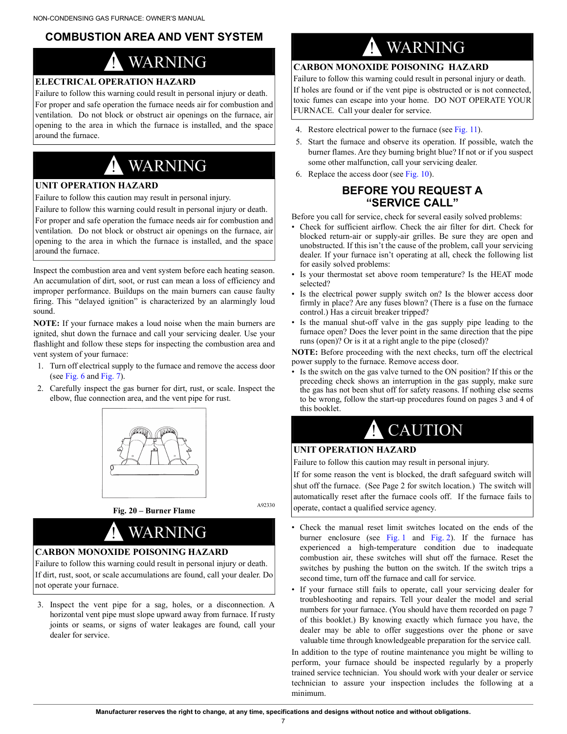## <span id="page-6-0"></span>**COMBUSTION AREA AND VENT SYSTEM**

# **WARNING**

## **ELECTRICAL OPERATION HAZARD**

Failure to follow this warning could result in personal injury or death. For proper and safe operation the furnace needs air for combustion and ventilation. Do not block or obstruct air openings on the furnace, air opening to the area in which the furnace is installed, and the space around the furnace.

# ! WARNING

#### **UNIT OPERATION HAZARD**

Failure to follow this caution may result in personal injury.

Failure to follow this warning could result in personal injury or death. For proper and safe operation the furnace needs air for combustion and ventilation. Do not block or obstruct air openings on the furnace, air opening to the area in which the furnace is installed, and the space around the furnace.

Inspect the combustion area and vent system before each heating season. An accumulation of dirt, soot, or rust can mean a loss of efficiency and improper performance. Buildups on the main burners can cause faulty firing. This "delayed ignition" is characterized by an alarmingly loud sound.

**NOTE:** If your furnace makes a loud noise when the main burners are ignited, shut down the furnace and call your servicing dealer. Use your flashlight and follow these steps for inspecting the combustion area and vent system of your furnace:

- 1. Turn off electrical supply to the furnace and remove the access door (see [Fig.](#page-3-1) 6 and [Fig.](#page-3-2) 7).
- 2. Carefully inspect the gas burner for dirt, rust, or scale. Inspect the elbow, flue connection area, and the vent pipe for rust.





A92330

## WARNING **CARBON MONOXIDE POISONING HAZARD**

Failure to follow this warning could result in personal injury or death. If dirt, rust, soot, or scale accumulations are found, call your dealer. Do not operate your furnace.

3. Inspect the vent pipe for a sag, holes, or a disconnection. A horizontal vent pipe must slope upward away from furnace. If rusty joints or seams, or signs of water leakages are found, call your dealer for service.

# ! WARNING

### **CARBON MONOXIDE POISONING HAZARD**

Failure to follow this warning could result in personal injury or death. If holes are found or if the vent pipe is obstructed or is not connected, toxic fumes can escape into your home. DO NOT OPERATE YOUR FURNACE. Call your dealer for service.

- 4. Restore electrical power to the furnace (see [Fig.](#page-3-6) 11).
- 5. Start the furnace and observe its operation. If possible, watch the burner flames. Are they burning bright blue? If not or if you suspect some other malfunction, call your servicing dealer.
- <span id="page-6-1"></span>6. Replace the access door (see [Fig.](#page-3-5) 10).

### **BEFORE YOU REQUEST A "SERVICE CALL"**

Before you call for service, check for several easily solved problems:

- Check for sufficient airflow. Check the air filter for dirt. Check for blocked return-air or supply-air grilles. Be sure they are open and unobstructed. If this isn't the cause of the problem, call your servicing dealer. If your furnace isn't operating at all, check the following list for easily solved problems:
- Is your thermostat set above room temperature? Is the HEAT mode selected?
- Is the electrical power supply switch on? Is the blower access door firmly in place? Are any fuses blown? (There is a fuse on the furnace control.) Has a circuit breaker tripped?
- Is the manual shut-off valve in the gas supply pipe leading to the furnace open? Does the lever point in the same direction that the pipe runs (open)? Or is it at a right angle to the pipe (closed)?

**NOTE:** Before proceeding with the next checks, turn off the electrical power supply to the furnace. Remove access door.

Is the switch on the gas valve turned to the ON position? If this or the preceding check shows an interruption in the gas supply, make sure the gas has not been shut off for safety reasons. If nothing else seems to be wrong, follow the start-up procedures found on pages 3 and 4 of this booklet.

# **CAUTION**

#### **UNIT OPERATION HAZARD**

Failure to follow this caution may result in personal injury.

If for some reason the vent is blocked, the draft safeguard switch will shut off the furnace. (See Page 2 for switch location.) The switch will automatically reset after the furnace cools off. If the furnace fails to operate, contact a qualified service agency.

- Check the manual reset limit switches located on the ends of the burner enclosure (see [Fig.](#page-1-3) 1 and Fig. 2). If the furnace has experienced a high-temperature condition due to inadequate combustion air, these switches will shut off the furnace. Reset the switches by pushing the button on the switch. If the switch trips a second time, turn off the furnace and call for service.
- If your furnace still fails to operate, call your servicing dealer for troubleshooting and repairs. Tell your dealer the model and serial numbers for your furnace. (You should have them recorded on page 7 of this booklet.) By knowing exactly which furnace you have, the dealer may be able to offer suggestions over the phone or save valuable time through knowledgeable preparation for the service call.

In addition to the type of routine maintenance you might be willing to perform, your furnace should be inspected regularly by a properly trained service technician. You should work with your dealer or service technician to assure your inspection includes the following at a minimum.